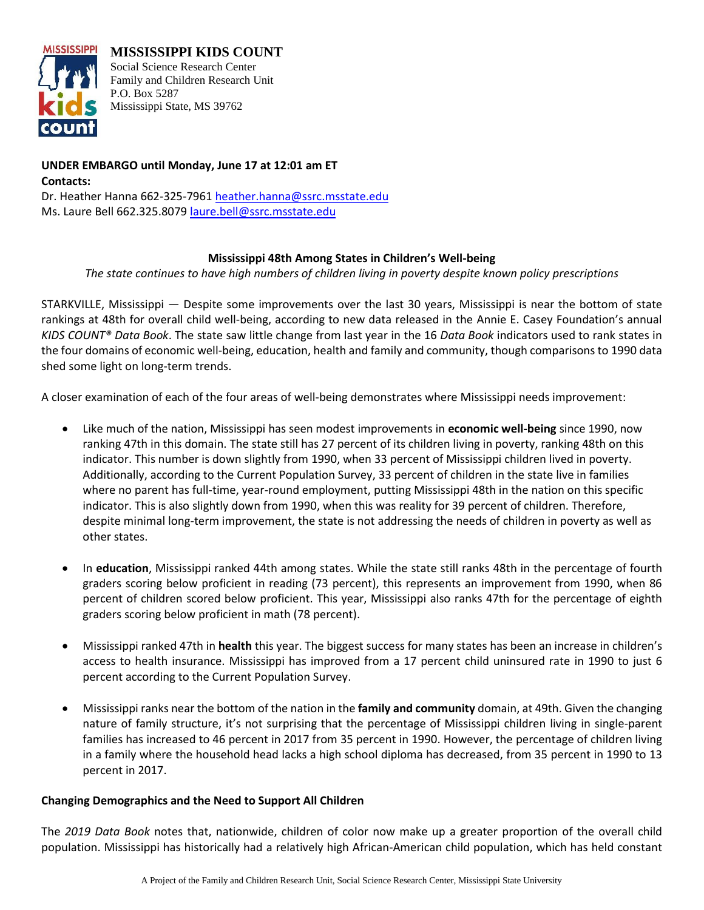

**MISSISSIPPI KIDS COUNT** Social Science Research Center Family and Children Research Unit P.O. Box 5287 Mississippi State, MS 39762

**UNDER EMBARGO until Monday, June 17 at 12:01 am ET Contacts:** Dr. Heather Hanna 662-325-7961 [heather.hanna@ssrc.msstate.edu](mailto:heather.hanna@ssrc.msstate.edu) Ms. Laure Bell 662.325.8079 [laure.bell@ssrc.msstate.edu](mailto:laure.bell@ssrc.msstate.edu)

### **Mississippi 48th Among States in Children's Well-being**

*The state continues to have high numbers of children living in poverty despite known policy prescriptions*

STARKVILLE, Mississippi — Despite some improvements over the last 30 years, Mississippi is near the bottom of state rankings at 48th for overall child well-being, according to new data released in the Annie E. Casey Foundation's annual *KIDS COUNT® Data Book*. The state saw little change from last year in the 16 *Data Book* indicators used to rank states in the four domains of economic well-being, education, health and family and community, though comparisons to 1990 data shed some light on long-term trends.

A closer examination of each of the four areas of well-being demonstrates where Mississippi needs improvement:

- Like much of the nation, Mississippi has seen modest improvements in **economic well-being** since 1990, now ranking 47th in this domain. The state still has 27 percent of its children living in poverty, ranking 48th on this indicator. This number is down slightly from 1990, when 33 percent of Mississippi children lived in poverty. Additionally, according to the Current Population Survey, 33 percent of children in the state live in families where no parent has full-time, year-round employment, putting Mississippi 48th in the nation on this specific indicator. This is also slightly down from 1990, when this was reality for 39 percent of children. Therefore, despite minimal long-term improvement, the state is not addressing the needs of children in poverty as well as other states.
- In **education**, Mississippi ranked 44th among states. While the state still ranks 48th in the percentage of fourth graders scoring below proficient in reading (73 percent), this represents an improvement from 1990, when 86 percent of children scored below proficient. This year, Mississippi also ranks 47th for the percentage of eighth graders scoring below proficient in math (78 percent).
- Mississippi ranked 47th in **health** this year. The biggest success for many states has been an increase in children's access to health insurance. Mississippi has improved from a 17 percent child uninsured rate in 1990 to just 6 percent according to the Current Population Survey.
- Mississippi ranks near the bottom of the nation in the **family and community** domain, at 49th. Given the changing nature of family structure, it's not surprising that the percentage of Mississippi children living in single-parent families has increased to 46 percent in 2017 from 35 percent in 1990. However, the percentage of children living in a family where the household head lacks a high school diploma has decreased, from 35 percent in 1990 to 13 percent in 2017.

### **Changing Demographics and the Need to Support All Children**

The *2019 Data Book* notes that, nationwide, children of color now make up a greater proportion of the overall child population. Mississippi has historically had a relatively high African-American child population, which has held constant